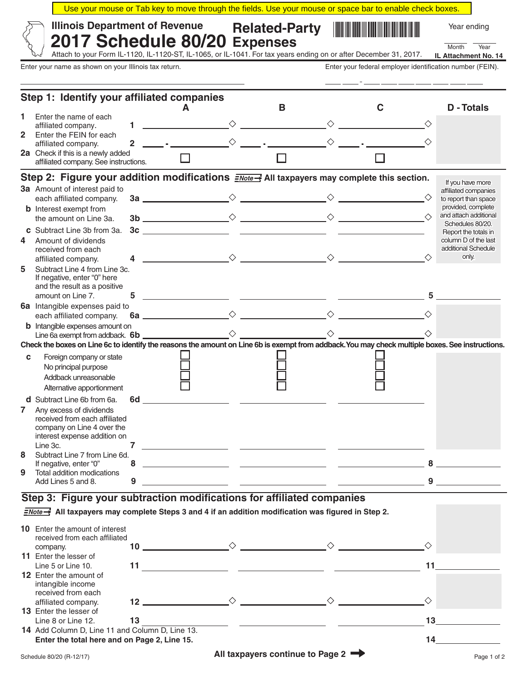| Use your mouse or Tab key to move through the fields. Use your mouse or space bar to enable check boxes. |                      |                                              |             |      |
|----------------------------------------------------------------------------------------------------------|----------------------|----------------------------------------------|-------------|------|
| √ Illinois Department of Revenue<br>$\%$ 2017 Schedule 80/20 Expenses                                    | <b>Related-Party</b> | <b>THE REAL PROPERTY OF PERSONS ASSESSED</b> | Year ending |      |
|                                                                                                          |                      |                                              | Month       | Year |

Attach to your Form IL-1120, IL-1120-ST, IL-1065, or IL-1041. For tax years ending on or after December 31, 2017.

Enter your name as shown on your Illinois tax return. The state of the state of the state of the state of the state of the state of the state of the state of the state of the state of the state of the state of the state of

**IL Attachment No. 14**

| Step 1: Identify your affiliated companies |                                                                                                                                                  |                |                                                                                                                      |                                                                          |  |   |                 |                                              |
|--------------------------------------------|--------------------------------------------------------------------------------------------------------------------------------------------------|----------------|----------------------------------------------------------------------------------------------------------------------|--------------------------------------------------------------------------|--|---|-----------------|----------------------------------------------|
|                                            |                                                                                                                                                  |                |                                                                                                                      | в                                                                        |  | С |                 | <b>D</b> - Totals                            |
| 1.                                         | Enter the name of each                                                                                                                           | $\blacksquare$ | <u> 1990 - John Harry Harry Harry Harry Harry Harry Harry Harry Harry Harry Harry Harry Harry Harry Harry Harry</u>  |                                                                          |  |   |                 |                                              |
|                                            | affiliated company.<br>2 Enter the FEIN for each                                                                                                 |                |                                                                                                                      |                                                                          |  |   |                 |                                              |
|                                            | affiliated company.                                                                                                                              | $\overline{2}$ |                                                                                                                      | $\begin{matrix} \diamondsuit & & \bullet \\ & & \bullet \\ \end{matrix}$ |  |   |                 |                                              |
|                                            | 2a Check if this is a newly added                                                                                                                |                |                                                                                                                      |                                                                          |  |   |                 |                                              |
|                                            | affiliated company. See instructions.                                                                                                            |                |                                                                                                                      |                                                                          |  |   |                 |                                              |
|                                            | Step 2: Figure your addition modifications $\frac{2\text{Note}}{2}$ All taxpayers may complete this section.                                     |                |                                                                                                                      |                                                                          |  |   |                 | If you have more                             |
|                                            | 3a Amount of interest paid to                                                                                                                    |                |                                                                                                                      |                                                                          |  |   |                 | affiliated companies                         |
|                                            | each affiliated company.                                                                                                                         |                |                                                                                                                      |                                                                          |  |   |                 | to report than space                         |
|                                            | <b>b</b> Interest exempt from                                                                                                                    |                |                                                                                                                      |                                                                          |  |   |                 | provided, complete<br>and attach additional  |
|                                            | the amount on Line 3a.                                                                                                                           |                | $\frac{1}{3c}$                                                                                                       |                                                                          |  |   |                 | Schedules 80/20.                             |
| 4                                          | Subtract Line 3b from 3a.<br>Amount of dividends                                                                                                 |                |                                                                                                                      |                                                                          |  |   |                 | Report the totals in<br>column D of the last |
|                                            | received from each                                                                                                                               |                |                                                                                                                      |                                                                          |  |   |                 | additional Schedule                          |
|                                            | affiliated company.                                                                                                                              |                |                                                                                                                      |                                                                          |  |   | ♦               | only.                                        |
| 5                                          | Subtract Line 4 from Line 3c.                                                                                                                    |                |                                                                                                                      |                                                                          |  |   |                 |                                              |
|                                            | If negative, enter "0" here<br>and the result as a positive                                                                                      |                |                                                                                                                      |                                                                          |  |   |                 |                                              |
|                                            | amount on Line 7.                                                                                                                                | 5              | <u> 1990 - Jan James James James James James James James James James James James James James James James James J</u> |                                                                          |  |   |                 |                                              |
|                                            | 6a Intangible expenses paid to                                                                                                                   |                |                                                                                                                      |                                                                          |  |   |                 |                                              |
|                                            | each affiliated company.                                                                                                                         |                |                                                                                                                      |                                                                          |  |   |                 |                                              |
|                                            | <b>b</b> Intangible expenses amount on                                                                                                           |                |                                                                                                                      |                                                                          |  |   |                 |                                              |
|                                            | Check the boxes on Line 6c to identify the reasons the amount on Line 6b is exempt from addback. You may check multiple boxes. See instructions. |                |                                                                                                                      |                                                                          |  |   |                 |                                              |
|                                            |                                                                                                                                                  |                |                                                                                                                      |                                                                          |  |   |                 |                                              |
| C                                          | Foreign company or state<br>No principal purpose                                                                                                 |                |                                                                                                                      |                                                                          |  |   |                 |                                              |
|                                            | Addback unreasonable                                                                                                                             |                |                                                                                                                      |                                                                          |  |   |                 |                                              |
|                                            | Alternative apportionment                                                                                                                        |                |                                                                                                                      |                                                                          |  |   |                 |                                              |
|                                            | <b>d</b> Subtract Line 6b from 6a.                                                                                                               | 6d             | <u> 1989 - Johann John Stone, mars et al. (</u> † 1922)                                                              |                                                                          |  |   |                 |                                              |
| $\mathbf{7}$                               | Any excess of dividends                                                                                                                          |                |                                                                                                                      |                                                                          |  |   |                 |                                              |
|                                            | received from each affiliated                                                                                                                    |                |                                                                                                                      |                                                                          |  |   |                 |                                              |
|                                            | company on Line 4 over the<br>interest expense addition on                                                                                       |                |                                                                                                                      |                                                                          |  |   |                 |                                              |
|                                            | Line 3c.                                                                                                                                         | $\overline{7}$ | <u> 1990 - Johann Barbara, martin amerikan ba</u>                                                                    |                                                                          |  |   |                 |                                              |
| 8                                          | Subtract Line 7 from Line 6d.                                                                                                                    |                |                                                                                                                      |                                                                          |  |   |                 |                                              |
| 9                                          | If negative, enter "0"<br>Total addition modications                                                                                             | 8              | <u> 1980 - Johann Stein, fransk politik (* 1900)</u>                                                                 |                                                                          |  |   |                 |                                              |
|                                            | Add Lines 5 and 8.                                                                                                                               | 9              |                                                                                                                      |                                                                          |  |   |                 | $9 \quad \overline{\quad}$                   |
|                                            | Step 3: Figure your subtraction modifications for affiliated companies                                                                           |                |                                                                                                                      |                                                                          |  |   |                 |                                              |
|                                            |                                                                                                                                                  |                |                                                                                                                      |                                                                          |  |   |                 |                                              |
|                                            | $\frac{Note \rightarrow 1}{2}$ All taxpayers may complete Steps 3 and 4 if an addition modification was figured in Step 2.                       |                |                                                                                                                      |                                                                          |  |   |                 |                                              |
|                                            | <b>10</b> Enter the amount of interest                                                                                                           |                |                                                                                                                      |                                                                          |  |   |                 |                                              |
|                                            | received from each affiliated                                                                                                                    |                |                                                                                                                      |                                                                          |  |   | ♦               |                                              |
|                                            | company.<br>11 Enter the lesser of                                                                                                               |                |                                                                                                                      |                                                                          |  |   |                 |                                              |
|                                            | Line 5 or Line 10.                                                                                                                               |                |                                                                                                                      |                                                                          |  |   | 11              |                                              |
|                                            | <b>12</b> Enter the amount of                                                                                                                    |                |                                                                                                                      |                                                                          |  |   |                 |                                              |
|                                            | intangible income<br>received from each                                                                                                          |                |                                                                                                                      |                                                                          |  |   |                 |                                              |
|                                            | affiliated company.                                                                                                                              |                |                                                                                                                      |                                                                          |  |   | ♦               |                                              |
|                                            | <b>13</b> Enter the lesser of                                                                                                                    |                |                                                                                                                      |                                                                          |  |   |                 |                                              |
|                                            | Line 8 or Line 12.                                                                                                                               | 13             |                                                                                                                      |                                                                          |  |   | 13 <sub>1</sub> |                                              |
|                                            | 14 Add Column D, Line 11 and Column D, Line 13.                                                                                                  |                |                                                                                                                      |                                                                          |  |   |                 | 14                                           |
|                                            | Enter the total here and on Page 2, Line 15.                                                                                                     |                |                                                                                                                      |                                                                          |  |   |                 |                                              |
|                                            | Schedule 80/20 (R-12/17)                                                                                                                         |                |                                                                                                                      | All taxpayers continue to Page 2                                         |  |   |                 | Page 1 of 2                                  |